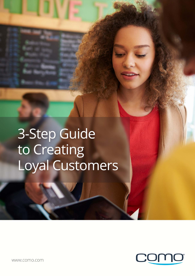# 3-Step Guide to Creating Loyal Customers

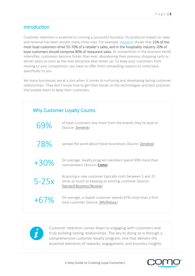## Introduction

Customer retention is essential to running a successful business. Its profound impact on sales and revenue has been proven many times over. For example, [research](http://ijbssnet.com/journals/Vol_6_No_8_1_August_2015/8.pdf) shows that 15% of the [most loyal customers drive 55-70% of a retailer's sales,](http://ijbssnet.com/journals/Vol_6_No_8_1_August_2015/8.pdf) and in the hospitality industr[y 20% of](https://www.lightspeedhq.com/blog/2017/04/restaurant-needs-loyalty-to-survive/)  [loyal customers](https://www.lightspeedhq.com/blog/2017/04/restaurant-needs-loyalty-to-survive/) should comprise 80% of restaurant sales. As competition in the business world intensifies, customers become fickler than ever, abandoning their previous shopping carts or dinner plans as soon as the next attractive deal shows up. To keep your customers from moving to your competition, you have to offer them compelling reasons to come back specifically to you.

Yet many businesses are at a loss when it comes to nurturing and developing lasting customer relationships. They don't know how to get their hands on the technologies and best practices that enable them to keep their customers.





Customer retention comes down to engaging with customers and truly building lasting relationships. The key to doing so is through a comprehensive customer loyalty program, one that delivers the essential elements of rewards, engagement, and business insights.

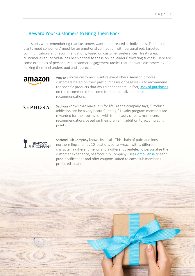# 1. Reward Your Customers to Bring Them Back

It all starts with remembering that customers want to be treated as individuals. The online giants meet consumers' need for an emotional connection with personalized, targeted communications and recommendations, based on customer preferences. Treating each customer as an individual has been critical to these online leaders' towering success. Here are some examples of personalized customer engagement tactics that motivate customers by making them feel understood and appreciated:



Amazon knows customers want relevant offers. Amazon profiles customers based on their past purchases or page views to recommend the specific products that would entice them. In fact, [35% of purchases](https://www.mckinsey.com/industries/retail/our-insights/how-retailers-can-keep-up-with-consumers) on the e-commerce site come from personalized product recommendations.

# **SEPHORA**

Sephora knows that makeup is for life. As the company says, "Product addiction can be a very beautiful thing." Loyalty program members are rewarded for their obsession with free beauty classes, makeovers, and recommendations based on their profile, in addition to accumulating points.



**CONTRACTOR** 

Seafood Pub Company knows its locals. This chain of pubs and inns in northern England has 10 locations so far—each with a different character, a different menu, and a different clientele. To personalize the customer experience, Seafood Pub Company uses [Como Sense](http://www.como.com/) to send push notifications and offer coupons suited to each club member's preferred location.

3-Step Guide to Creating Loyal Customers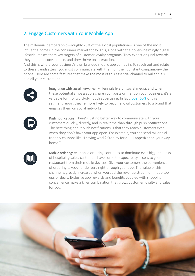# 2. Engage Customers with Your Mobile App

The millennial demographic—roughly 25% of the global population—is one of the most influential forces in the consumer market today. This, along with their overwhelmingly digital lifestyle, makes them key targets of customer loyalty programs. They expect original rewards, they demand convenience, and they thrive on interaction.

And this is where your business's own branded mobile app comes in. To reach out and relate to these trendsetters, you must communicate with them on their constant companion—their phone. Here are some features that make the most of this essential channel to millennials and all your customers:



Integration with social networks: Millennials live on social media, and when these potential ambassadors share your posts or mention your business, it's a valuable form of word-of-mouth advertising. In fact, [over 60%](https://www.forbes.com/forbes/welcome/?toURL=https://www.forbes.com/sites/danschawbel/2015/01/20/10-new-findings-about-the-millennial-consumer/2/&refURL=&referrer=#24812f9a1474) of this segment report they're more likely to become loyal customers to a brand that engages them on social networks.



Push notifications: There's just no better way to communicate with your customers quickly, directly, and in real time than through push notifications. The best thing about push notifications is that they reach customers even when they don't have your app open. For example, you can send millennialfriendly coupons like "Leaving work? Stop by for a 1+1 appetizer on your way home."



Mobile ordering: As mobile ordering continues to dominate ever-bigger chunks of hospitality sales, customers have come to expect easy access to your restaurant from their mobile devices. Give your customers the convenience of ordering takeout or delivery right through your app. The value of this channel is greatly increased when you add the revenue stream of in-app topups or deals. Exclusive app rewards and benefits coupled with shopping convenience make a killer combination that grows customer loyalty and sales for you.

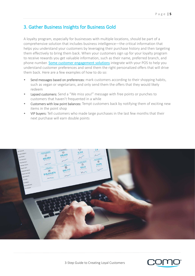## 3. Gather Business Insights for Business Gold

A loyalty program, especially for businesses with multiple locations, should be part of a comprehensive solution that includes business intelligence—the critical information that helps you understand your customers by leveraging their purchase history and then targeting them effectively to bring them back. When your customers sign up for your loyalty program to receive rewards you get valuable information, such as their name, preferred branch, and phone number. [Some customer engagement solutions](http://www.como.com/) integrate with your POS to help you understand customer preferences and send them the right personalized offers that will drive them back. Here are a few examples of how to do so:

- Send messages based on preferences: mark customers according to their shopping habits, such as vegan or vegetarians, and only send them the offers that they would likely redeem
- Lapsed customers: Send a "We miss you!" message with free points or punches to customers that haven't frequented in a while
- Customers with low point balances: Tempt customers back by notifying them of exciting new items in the point shop
- VIP buyers: Tell customers who made large purchases in the last few months that their next purchase will earn double points



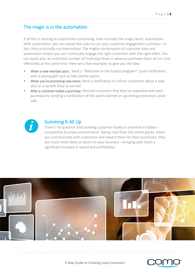## The magic is in the automation

If all this is starting to sound time-consuming, then consider the magic word: automation. With automation, you can preset the rules to run your customer engagement activities—in fact, they practically run themselves! The mighty combination of customer data and automation means you can continually engage the right customers with the right offers. You can easily plan an unlimited number of multistep flows in advance and have them all run costeffectively at the same time. Here are a few examples to give you the idea:

- When a new member joins: Send a "Welcome to the loyalty program!" push notification, with a joining gift such as free starter points
- When you're promoting new items: Send a notification to inform customers about a new dish or a benefit they've earned
- After a customer makes a purchase: Remind customers that they're rewarded with each purchase by sending a notification of the points earned or upcoming promotions postsale



#### Summing It All Up

There's no question that building customer loyalty is essential in today's competitive business environment. Taking note from the online giants, when you communicate with customers and reward them for their purchases, they are much more likely to return to your business—bringing with them a significant increase in spend and profitability.